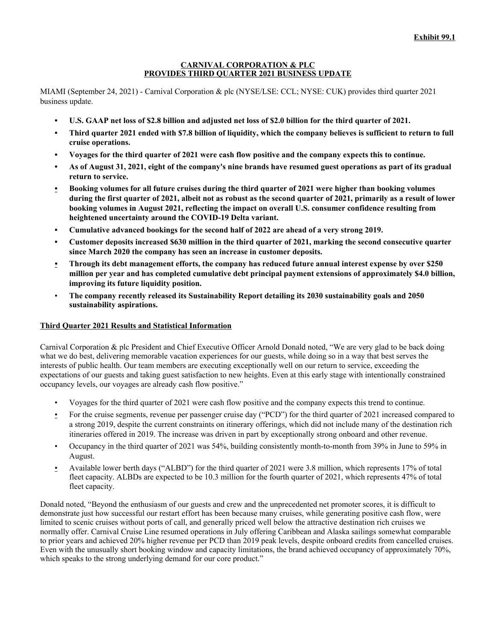#### **CARNIVAL CORPORATION & PLC PROVIDES THIRD QUARTER 2021 BUSINESS UPDATE**

MIAMI (September 24, 2021) - Carnival Corporation & plc (NYSE/LSE: CCL; NYSE: CUK) provides third quarter 2021 business update.

- U.S. GAAP net loss of \$2.8 billion and adjusted net loss of \$2.0 billion for the third quarter of 2021.
- Third quarter 2021 ended with \$7.8 billion of liquidity, which the company believes is sufficient to return to full **cruise operations.**
- Voyages for the third quarter of 2021 were cash flow positive and the company expects this to continue.
- As of August 31, 2021, eight of the company's nine brands have resumed guest operations as part of its gradual **return to service.**
- Booking volumes for all future cruises during the third quarter of 2021 were higher than booking volumes during the first quarter of 2021, albeit not as robust as the second quarter of 2021, primarily as a result of lower **booking volumes in August 2021, reflecting the impact on overall U.S. consumer confidence resulting from heightened uncertainty around the COVID-19 Delta variant.**
- **• Cumulative advanced bookings for the second half of 2022 are ahead of a very strong 2019.**
- Customer deposits increased \$630 million in the third quarter of 2021, marking the second consecutive quarter **since March 2020 the company has seen an increase in customer deposits.**
- Through its debt management efforts, the company has reduced future annual interest expense by over \$250 **million per year and has completed cumulative debt principal payment extensions of approximately \$4.0 billion, improving its future liquidity position.**
- **The company recently released its Sustainability Report detailing its 2030 sustainability goals and 2050 sustainability aspirations.**

## **Third Quarter 2021 Results and Statistical Information**

Carnival Corporation & plc President and Chief Executive Officer Arnold Donald noted, "We are very glad to be back doing what we do best, delivering memorable vacation experiences for our guests, while doing so in a way that best serves the interests of public health. Our team members are executing exceptionally well on our return to service, exceeding the expectations of our guests and taking guest satisfaction to new heights. Even at this early stage with intentionally constrained occupancy levels, our voyages are already cash flow positive."

- Voyages for the third quarter of 2021 were cash flow positive and the company expects this trend to continue.
- For the cruise segments, revenue per passenger cruise day ("PCD") for the third quarter of 2021 increased compared to a strong 2019, despite the current constraints on itinerary offerings, which did not include many of the destination rich itineraries offered in 2019. The increase was driven in part by exceptionally strong onboard and other revenue.
- Occupancy in the third quarter of 2021 was 54%, building consistently month-to-month from 39% in June to 59% in August.
- Available lower berth days ("ALBD") for the third quarter of 2021 were 3.8 million, which represents 17% of total fleet capacity. ALBDs are expected to be 10.3 million for the fourth quarter of 2021, which represents 47% of total fleet capacity.

Donald noted, "Beyond the enthusiasm of our guests and crew and the unprecedented net promoter scores, it is difficult to demonstrate just how successful our restart effort has been because many cruises, while generating positive cash flow, were limited to scenic cruises without ports of call, and generally priced well below the attractive destination rich cruises we normally offer. Carnival Cruise Line resumed operations in July offering Caribbean and Alaska sailings somewhat comparable to prior years and achieved 20% higher revenue per PCD than 2019 peak levels, despite onboard credits from cancelled cruises. Even with the unusually short booking window and capacity limitations, the brand achieved occupancy of approximately 70%, which speaks to the strong underlying demand for our core product."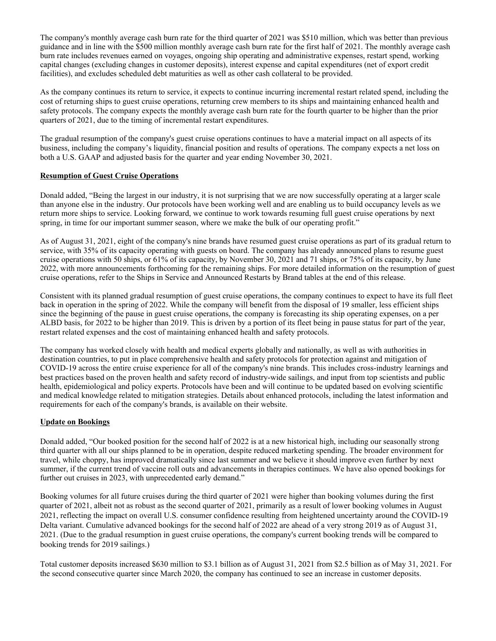The company's monthly average cash burn rate for the third quarter of 2021 was \$510 million, which was better than previous guidance and in line with the \$500 million monthly average cash burn rate for the first half of 2021. The monthly average cash burn rate includes revenues earned on voyages, ongoing ship operating and administrative expenses, restart spend, working capital changes (excluding changes in customer deposits), interest expense and capital expenditures (net of export credit facilities), and excludes scheduled debt maturities as well as other cash collateral to be provided.

As the company continues its return to service, it expects to continue incurring incremental restart related spend, including the cost of returning ships to guest cruise operations, returning crew members to its ships and maintaining enhanced health and safety protocols. The company expects the monthly average cash burn rate for the fourth quarter to be higher than the prior quarters of 2021, due to the timing of incremental restart expenditures.

The gradual resumption of the company's guest cruise operations continues to have a material impact on all aspects of its business, including the company's liquidity, financial position and results of operations. The company expects a net loss on both a U.S. GAAP and adjusted basis for the quarter and year ending November 30, 2021.

## **Resumption of Guest Cruise Operations**

Donald added, "Being the largest in our industry, it is not surprising that we are now successfully operating at a larger scale than anyone else in the industry. Our protocols have been working well and are enabling us to build occupancy levels as we return more ships to service. Looking forward, we continue to work towards resuming full guest cruise operations by next spring, in time for our important summer season, where we make the bulk of our operating profit."

As of August 31, 2021, eight of the company's nine brands have resumed guest cruise operations as part of its gradual return to service, with 35% of its capacity operating with guests on board. The company has already announced plans to resume guest cruise operations with 50 ships, or 61% of its capacity, by November 30, 2021 and 71 ships, or 75% of its capacity, by June 2022, with more announcements forthcoming for the remaining ships. For more detailed information on the resumption of guest cruise operations, refer to the Ships in Service and Announced Restarts by Brand tables at the end of this release.

Consistent with its planned gradual resumption of guest cruise operations, the company continues to expect to have its full fleet back in operation in the spring of 2022. While the company will benefit from the disposal of 19 smaller, less efficient ships since the beginning of the pause in guest cruise operations, the company is forecasting its ship operating expenses, on a per ALBD basis, for 2022 to be higher than 2019. This is driven by a portion of its fleet being in pause status for part of the year, restart related expenses and the cost of maintaining enhanced health and safety protocols.

The company has worked closely with health and medical experts globally and nationally, as well as with authorities in destination countries, to put in place comprehensive health and safety protocols for protection against and mitigation of COVID-19 across the entire cruise experience for all of the company's nine brands. This includes cross-industry learnings and best practices based on the proven health and safety record of industry-wide sailings, and input from top scientists and public health, epidemiological and policy experts. Protocols have been and will continue to be updated based on evolving scientific and medical knowledge related to mitigation strategies. Details about enhanced protocols, including the latest information and requirements for each of the company's brands, is available on their website.

## **Update on Bookings**

Donald added, "Our booked position for the second half of 2022 is at a new historical high, including our seasonally strong third quarter with all our ships planned to be in operation, despite reduced marketing spending. The broader environment for travel, while choppy, has improved dramatically since last summer and we believe it should improve even further by next summer, if the current trend of vaccine roll outs and advancements in therapies continues. We have also opened bookings for further out cruises in 2023, with unprecedented early demand."

Booking volumes for all future cruises during the third quarter of 2021 were higher than booking volumes during the first quarter of 2021, albeit not as robust as the second quarter of 2021, primarily as a result of lower booking volumes in August 2021, reflecting the impact on overall U.S. consumer confidence resulting from heightened uncertainty around the COVID-19 Delta variant. Cumulative advanced bookings for the second half of 2022 are ahead of a very strong 2019 as of August 31, 2021. (Due to the gradual resumption in guest cruise operations, the company's current booking trends will be compared to booking trends for 2019 sailings.)

Total customer deposits increased \$630 million to \$3.1 billion as of August 31, 2021 from \$2.5 billion as of May 31, 2021. For the second consecutive quarter since March 2020, the company has continued to see an increase in customer deposits.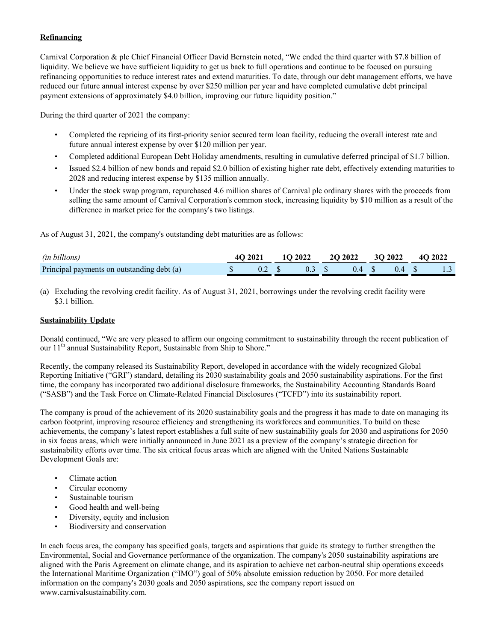# **Refinancing**

Carnival Corporation & plc Chief Financial Officer David Bernstein noted, "We ended the third quarter with \$7.8 billion of liquidity. We believe we have sufficient liquidity to get us back to full operations and continue to be focused on pursuing refinancing opportunities to reduce interest rates and extend maturities. To date, through our debt management efforts, we have reduced our future annual interest expense by over \$250 million per year and have completed cumulative debt principal payment extensions of approximately \$4.0 billion, improving our future liquidity position."

During the third quarter of 2021 the company:

- Completed the repricing of its first-priority senior secured term loan facility, reducing the overall interest rate and future annual interest expense by over \$120 million per year.
- Completed additional European Debt Holiday amendments, resulting in cumulative deferred principal of \$1.7 billion.
- Issued \$2.4 billion of new bonds and repaid \$2.0 billion of existing higher rate debt, effectively extending maturities to 2028 and reducing interest expense by \$135 million annually.
- Under the stock swap program, repurchased 4.6 million shares of Carnival plc ordinary shares with the proceeds from selling the same amount of Carnival Corporation's common stock, increasing liquidity by \$10 million as a result of the difference in market price for the company's two listings.

As of August 31, 2021, the company's outstanding debt maturities are as follows:

| <i>(in billions)</i>                       |  |  | 4Q 2021 1Q 2022 2Q 2022 3Q 2022 4Q 2022         |  |  |
|--------------------------------------------|--|--|-------------------------------------------------|--|--|
| Principal payments on outstanding debt (a) |  |  | $\text{\AA}$ \$ 0.2 \$ 0.3 \$ 0.4 \$ 0.4 \$ 1.3 |  |  |

(a) Excluding the revolving credit facility. As of August 31, 2021, borrowings under the revolving credit facility were \$3.1 billion.

#### **Sustainability Update**

Donald continued, "We are very pleased to affirm our ongoing commitment to sustainability through the recent publication of our 11<sup>th</sup> annual Sustainability Report, Sustainable from Ship to Shore."

Recently, the company released its Sustainability Report, developed in accordance with the widely recognized Global Reporting Initiative ("GRI") standard, detailing its 2030 sustainability goals and 2050 sustainability aspirations. For the first time, the company has incorporated two additional disclosure frameworks, the Sustainability Accounting Standards Board ("SASB") and the Task Force on Climate-Related Financial Disclosures ("TCFD") into its sustainability report.

The company is proud of the achievement of its 2020 sustainability goals and the progress it has made to date on managing its carbon footprint, improving resource efficiency and strengthening its workforces and communities. To build on these achievements, the company's latest report establishes a full suite of new sustainability goals for 2030 and aspirations for 2050 in six focus areas, which were initially announced in June 2021 as a preview of the company's strategic direction for sustainability efforts over time. The six critical focus areas which are aligned with the United Nations Sustainable Development Goals are:

- Climate action
- Circular economy
- Sustainable tourism
- Good health and well-being
- Diversity, equity and inclusion
- Biodiversity and conservation

In each focus area, the company has specified goals, targets and aspirations that guide its strategy to further strengthen the Environmental, Social and Governance performance of the organization. The company's 2050 sustainability aspirations are aligned with the Paris Agreement on climate change, and its aspiration to achieve net carbon-neutral ship operations exceeds the International Maritime Organization ("IMO") goal of 50% absolute emission reduction by 2050. For more detailed information on the company's 2030 goals and 2050 aspirations, see the company report issued on [www.carnivalsustainability.com.](http://www.carnivalsustainability.com/)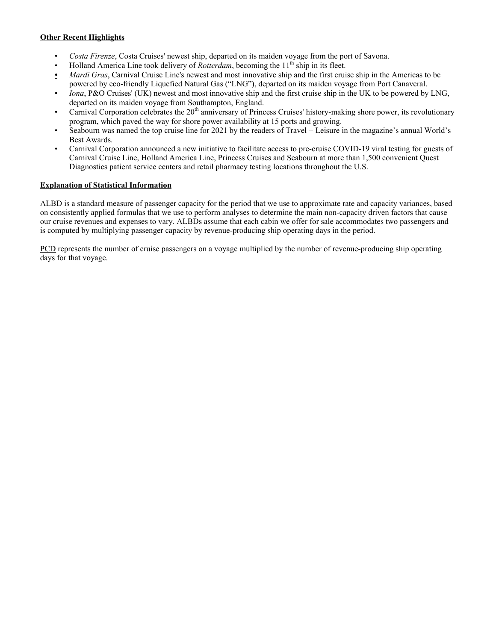# **Other Recent Highlights**

- *Costa Firenze*, Costa Cruises' newest ship, departed on its maiden voyage from the port of Savona.
- Holland America Line took delivery of *Rotterdam*, becoming the 11<sup>th</sup> ship in its fleet.
- *• Mardi Gras*, Carnival Cruise Line's newest and most innovative ship and the first cruise ship in the Americas to be powered by eco-friendly Liquefied Natural Gas ("LNG"), departed on its maiden voyage from Port Canaveral.
- *Iona*, P&O Cruises' (UK) newest and most innovative ship and the first cruise ship in the UK to be powered by LNG, departed on its maiden voyage from Southampton, England.
- Carnival Corporation celebrates the  $20<sup>th</sup>$  anniversary of Princess Cruises' history-making shore power, its revolutionary program, which paved the way for shore power availability at 15 ports and growing.
- Seabourn was named the top cruise line for 2021 by the readers of Travel + Leisure in the magazine's annual World's Best Awards.
- Carnival Corporation announced a new initiative to facilitate access to pre-cruise COVID-19 viral testing for guests of Carnival Cruise Line, Holland America Line, Princess Cruises and Seabourn at more than 1,500 convenient Quest Diagnostics patient service centers and retail pharmacy testing locations throughout the U.S.

# **Explanation of Statistical Information**

ALBD is a standard measure of passenger capacity for the period that we use to approximate rate and capacity variances, based on consistently applied formulas that we use to perform analyses to determine the main non-capacity driven factors that cause our cruise revenues and expenses to vary. ALBDs assume that each cabin we offer for sale accommodates two passengers and is computed by multiplying passenger capacity by revenue-producing ship operating days in the period.

PCD represents the number of cruise passengers on a voyage multiplied by the number of revenue-producing ship operating days for that voyage.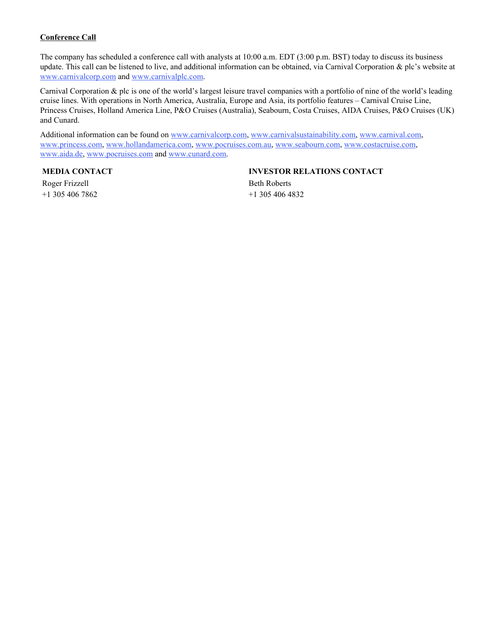# **Conference Call**

The company has scheduled a conference call with analysts at 10:00 a.m. EDT (3:00 p.m. BST) today to discuss its business update. This call can be listened to live, and additional information can be obtained, via Carnival Corporation & plc's website at [www.carnivalcorp.com](http://www.carnivalcorp.com/) and [www.carnivalplc.com.](http://www.carnivalplc.com/) 

Carnival Corporation & plc is one of the world's largest leisure travel companies with a portfolio of nine of the world's leading cruise lines. With operations in North America, Australia, Europe and Asia, its portfolio features – Carnival Cruise Line, Princess Cruises, Holland America Line, P&O Cruises (Australia), Seabourn, Costa Cruises, AIDA Cruises, P&O Cruises (UK) and Cunard.

Additional information can be found on [www.carnivalcorp.com,](http://www.carnivalcorp.com/) [www.carnivalsustainability.com,](http://www.carnivalsustainability.com/) [www.carnival.com,](http://www.carnival.com/) [www.princess.com,](http://www.princess.com/) [www.hollandamerica.com,](http://www.hollandamerica.com) [www.pocruises.com.au,](http://www.pocruises.com.au) [www.seabourn.com,](http://www.seabourn.com) [www.costacruise.com,](http://www.costacruise.com)  [www.aida.de,](http://www.aida.de) [www.pocruises.com](http://www.pocruises.com) and [www.cunard.com.](http://www.cunard.com)

Roger Frizzell Beth Roberts +1 305 406 7862 +1 305 406 4832

# **MEDIA CONTACT INVESTOR RELATIONS CONTACT**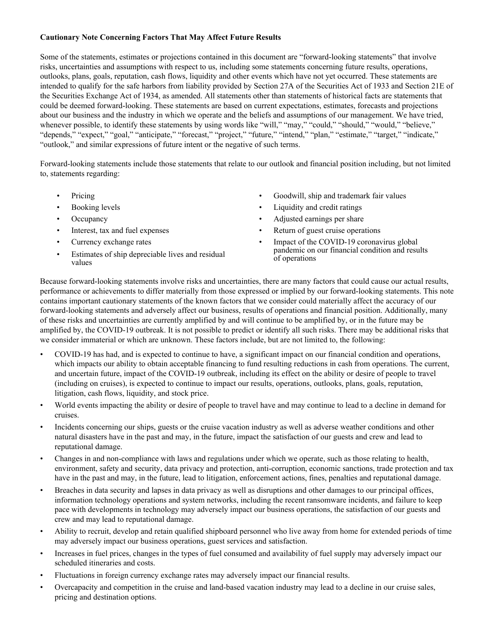# **Cautionary Note Concerning Factors That May Affect Future Results**

Some of the statements, estimates or projections contained in this document are "forward-looking statements" that involve risks, uncertainties and assumptions with respect to us, including some statements concerning future results, operations, outlooks, plans, goals, reputation, cash flows, liquidity and other events which have not yet occurred. These statements are intended to qualify for the safe harbors from liability provided by Section 27A of the Securities Act of 1933 and Section 21E of the Securities Exchange Act of 1934, as amended. All statements other than statements of historical facts are statements that could be deemed forward-looking. These statements are based on current expectations, estimates, forecasts and projections about our business and the industry in which we operate and the beliefs and assumptions of our management. We have tried, whenever possible, to identify these statements by using words like "will," "may," "could," "should," "would," "believe," "depends," "expect," "goal," "anticipate," "forecast," "project," "future," "intend," "plan," "estimate," "target," "indicate," "outlook," and similar expressions of future intent or the negative of such terms.

Forward-looking statements include those statements that relate to our outlook and financial position including, but not limited to, statements regarding:

- 
- 
- 
- 
- 
- Estimates of ship depreciable lives and residual values
- Pricing Goodwill, ship and trademark fair values
- Booking levels Liquidity and credit ratings
- Occupancy Adjusted earnings per share
- Interest, tax and fuel expenses Return of guest cruise operations
- Currency exchange rates Impact of the COVID-19 coronavirus global pandemic on our financial condition and results

Because forward-looking statements involve risks and uncertainties, there are many factors that could cause our actual results, performance or achievements to differ materially from those expressed or implied by our forward-looking statements. This note contains important cautionary statements of the known factors that we consider could materially affect the accuracy of our forward-looking statements and adversely affect our business, results of operations and financial position. Additionally, many of these risks and uncertainties are currently amplified by and will continue to be amplified by, or in the future may be amplified by, the COVID-19 outbreak. It is not possible to predict or identify all such risks. There may be additional risks that we consider immaterial or which are unknown. These factors include, but are not limited to, the following:

- COVID-19 has had, and is expected to continue to have, a significant impact on our financial condition and operations, which impacts our ability to obtain acceptable financing to fund resulting reductions in cash from operations. The current, and uncertain future, impact of the COVID-19 outbreak, including its effect on the ability or desire of people to travel (including on cruises), is expected to continue to impact our results, operations, outlooks, plans, goals, reputation, litigation, cash flows, liquidity, and stock price.
- World events impacting the ability or desire of people to travel have and may continue to lead to a decline in demand for cruises.
- Incidents concerning our ships, guests or the cruise vacation industry as well as adverse weather conditions and other natural disasters have in the past and may, in the future, impact the satisfaction of our guests and crew and lead to reputational damage.
- Changes in and non-compliance with laws and regulations under which we operate, such as those relating to health, environment, safety and security, data privacy and protection, anti-corruption, economic sanctions, trade protection and tax have in the past and may, in the future, lead to litigation, enforcement actions, fines, penalties and reputational damage.
- Breaches in data security and lapses in data privacy as well as disruptions and other damages to our principal offices, information technology operations and system networks, including the recent ransomware incidents, and failure to keep pace with developments in technology may adversely impact our business operations, the satisfaction of our guests and crew and may lead to reputational damage.
- Ability to recruit, develop and retain qualified shipboard personnel who live away from home for extended periods of time may adversely impact our business operations, guest services and satisfaction.
- Increases in fuel prices, changes in the types of fuel consumed and availability of fuel supply may adversely impact our scheduled itineraries and costs.
- Fluctuations in foreign currency exchange rates may adversely impact our financial results.
- Overcapacity and competition in the cruise and land-based vacation industry may lead to a decline in our cruise sales, pricing and destination options.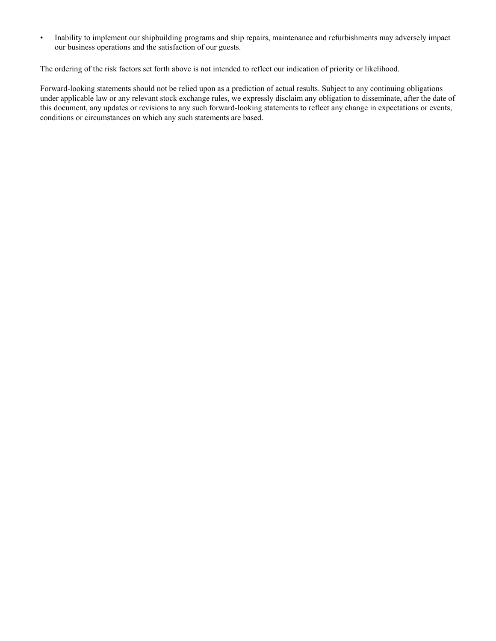• Inability to implement our shipbuilding programs and ship repairs, maintenance and refurbishments may adversely impact our business operations and the satisfaction of our guests.

The ordering of the risk factors set forth above is not intended to reflect our indication of priority or likelihood.

Forward-looking statements should not be relied upon as a prediction of actual results. Subject to any continuing obligations under applicable law or any relevant stock exchange rules, we expressly disclaim any obligation to disseminate, after the date of this document, any updates or revisions to any such forward-looking statements to reflect any change in expectations or events, conditions or circumstances on which any such statements are based.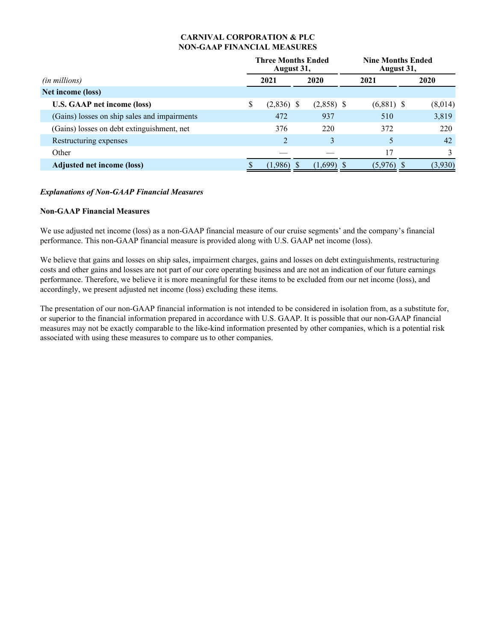# **CARNIVAL CORPORATION & PLC NON-GAAP FINANCIAL MEASURES**

|                                              | <b>Three Months Ended</b><br>August 31, |                | <b>Nine Months Ended</b><br>August 31, |  |              |  |         |
|----------------------------------------------|-----------------------------------------|----------------|----------------------------------------|--|--------------|--|---------|
| (in millions)                                |                                         | 2021           | 2020                                   |  | 2021         |  | 2020    |
| Net income (loss)                            |                                         |                |                                        |  |              |  |         |
| <b>U.S. GAAP net income (loss)</b>           | \$                                      | $(2,836)$ \$   | $(2,858)$ \$                           |  | $(6,881)$ \$ |  | (8,014) |
| (Gains) losses on ship sales and impairments |                                         | 472            | 937                                    |  | 510          |  | 3,819   |
| (Gains) losses on debt extinguishment, net   |                                         | 376            | 220                                    |  | 372          |  | 220     |
| Restructuring expenses                       |                                         | $\overline{2}$ | 3                                      |  |              |  | 42      |
| Other                                        |                                         |                |                                        |  | 17           |  |         |
| Adjusted net income (loss)                   |                                         | $(1,986)$ \$   | $(1,699)$ \$                           |  | (5,976)      |  | (3,930) |

## *Explanations of Non-GAAP Financial Measures*

## **Non-GAAP Financial Measures**

We use adjusted net income (loss) as a non-GAAP financial measure of our cruise segments' and the company's financial performance. This non-GAAP financial measure is provided along with U.S. GAAP net income (loss).

We believe that gains and losses on ship sales, impairment charges, gains and losses on debt extinguishments, restructuring costs and other gains and losses are not part of our core operating business and are not an indication of our future earnings performance. Therefore, we believe it is more meaningful for these items to be excluded from our net income (loss), and accordingly, we present adjusted net income (loss) excluding these items.

The presentation of our non-GAAP financial information is not intended to be considered in isolation from, as a substitute for, or superior to the financial information prepared in accordance with U.S. GAAP. It is possible that our non-GAAP financial measures may not be exactly comparable to the like-kind information presented by other companies, which is a potential risk associated with using these measures to compare us to other companies.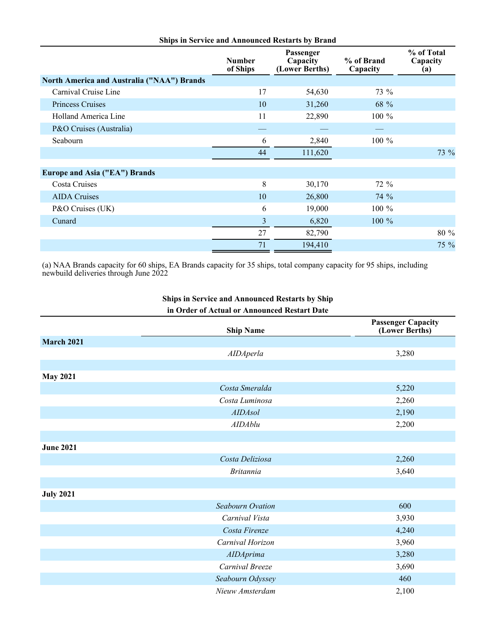| <b>Ships in Service and Announced Restarts by Brand</b> |                           |                                         |                        |                               |  |  |  |  |
|---------------------------------------------------------|---------------------------|-----------------------------------------|------------------------|-------------------------------|--|--|--|--|
|                                                         | <b>Number</b><br>of Ships | Passenger<br>Capacity<br>(Lower Berths) | % of Brand<br>Capacity | % of Total<br>Capacity<br>(a) |  |  |  |  |
| <b>North America and Australia ("NAA") Brands</b>       |                           |                                         |                        |                               |  |  |  |  |
| Carnival Cruise Line                                    | 17                        | 54,630                                  | 73 %                   |                               |  |  |  |  |
| <b>Princess Cruises</b>                                 | 10                        | 31,260                                  | 68 %                   |                               |  |  |  |  |
| Holland America Line                                    | 11                        | 22,890                                  | 100 %                  |                               |  |  |  |  |
| P&O Cruises (Australia)                                 |                           |                                         |                        |                               |  |  |  |  |
| Seabourn                                                | 6                         | 2,840                                   | 100 %                  |                               |  |  |  |  |
|                                                         | 44                        | 111,620                                 |                        | 73 %                          |  |  |  |  |
| Europe and Asia ("EA") Brands                           |                           |                                         |                        |                               |  |  |  |  |
| Costa Cruises                                           | 8                         | 30,170                                  | 72 %                   |                               |  |  |  |  |
| <b>AIDA</b> Cruises                                     | 10                        | 26,800                                  | 74 %                   |                               |  |  |  |  |
| P&O Cruises (UK)                                        | 6                         | 19,000                                  | 100 %                  |                               |  |  |  |  |
| Cunard                                                  | 3                         | 6,820                                   | $100\%$                |                               |  |  |  |  |
|                                                         | 27                        | 82,790                                  |                        | 80 %                          |  |  |  |  |
|                                                         | 71                        | 194,410                                 |                        | $75\%$                        |  |  |  |  |

(a) NAA Brands capacity for 60 ships, EA Brands capacity for 35 ships, total company capacity for 95 ships, including newbuild deliveries through June 2022

|  |  | <b>Ships in Service and Announced Restarts by Ship</b> |  |
|--|--|--------------------------------------------------------|--|
|  |  | in Order of Actual or Announced Restart Date           |  |

|                   | <b>Ship Name</b> | <b>Passenger Capacity</b><br>(Lower Berths) |
|-------------------|------------------|---------------------------------------------|
| <b>March 2021</b> |                  |                                             |
|                   | <b>AIDAperla</b> | 3,280                                       |
|                   |                  |                                             |
| <b>May 2021</b>   |                  |                                             |
|                   | Costa Smeralda   | 5,220                                       |
|                   | Costa Luminosa   | 2,260                                       |
|                   | <b>AIDAsol</b>   | 2,190                                       |
|                   | <b>AIDAblu</b>   | 2,200                                       |
|                   |                  |                                             |
| <b>June 2021</b>  |                  |                                             |
|                   | Costa Deliziosa  | 2,260                                       |
|                   | <b>Britannia</b> | 3,640                                       |
|                   |                  |                                             |
| <b>July 2021</b>  |                  |                                             |
|                   | Seabourn Ovation | 600                                         |
|                   | Carnival Vista   | 3,930                                       |
|                   | Costa Firenze    | 4,240                                       |
|                   | Carnival Horizon | 3,960                                       |
|                   | <b>AIDAprima</b> | 3,280                                       |
|                   | Carnival Breeze  | 3,690                                       |
|                   | Seabourn Odyssey | 460                                         |
|                   | Nieuw Amsterdam  | 2,100                                       |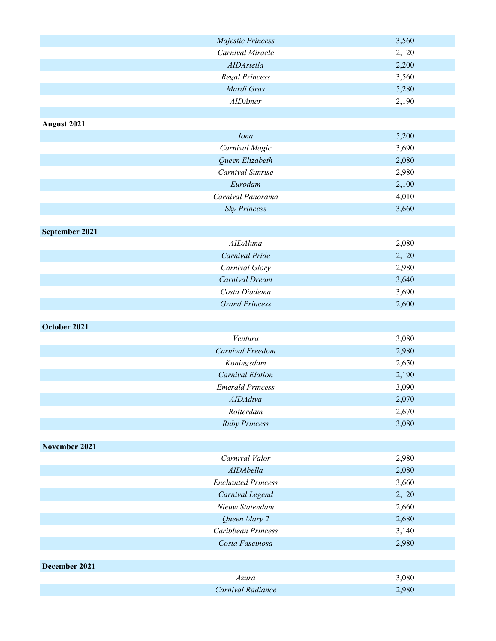| Majestic Princess               | 3,560          |
|---------------------------------|----------------|
| Carnival Miracle                | 2,120          |
| AIDAstella                      | 2,200          |
| Regal Princess                  | 3,560          |
| Mardi Gras                      | 5,280          |
| <b>AIDAmar</b>                  | 2,190          |
|                                 |                |
| August 2021                     |                |
| Iona                            | 5,200          |
| Carnival Magic                  | 3,690          |
| Queen Elizabeth                 | 2,080          |
| Carnival Sunrise                | 2,980          |
| Eurodam                         | 2,100          |
| Carnival Panorama               | 4,010          |
| <b>Sky Princess</b>             | 3,660          |
|                                 |                |
| September 2021                  |                |
| <b>AIDAluna</b>                 | 2,080          |
| Carnival Pride                  | 2,120          |
| Carnival Glory                  | 2,980          |
| Carnival Dream<br>Costa Diadema | 3,640<br>3,690 |
| <b>Grand Princess</b>           | 2,600          |
|                                 |                |
| October 2021                    |                |
| Ventura                         | 3,080          |
| Carnival Freedom                | 2,980          |
| Koningsdam                      | 2,650          |
| Carnival Elation                | 2,190          |
| <b>Emerald Princess</b>         | 3,090          |
| <b>AIDAdiva</b>                 | 2,070          |
| Rotterdam                       | 2,670          |
| <b>Ruby Princess</b>            | 3,080          |
|                                 |                |
| November 2021                   |                |
| Carnival Valor                  | 2,980          |
| AIDAbella                       | 2,080          |
| <b>Enchanted Princess</b>       | 3,660          |
| Carnival Legend                 | 2,120          |
| Nieuw Statendam                 | 2,660          |
| Queen Mary 2                    | 2,680          |
| Caribbean Princess              | 3,140          |
| Costa Fascinosa                 | 2,980          |
|                                 |                |
| December 2021                   |                |
| Azura                           | 3,080          |
| Carnival Radiance               | 2,980          |